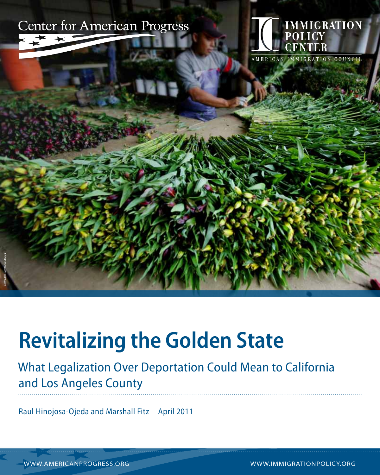



# **Revitalizing the Golden State**

### What Legalization Over Deportation Could Mean to California and Los Angeles County

Raul Hinojosa-Ojeda and Marshall Fitz April 2011

www.americanprogress.org www.immigrationpolicy.org

AP Photo/Sandy Huffaker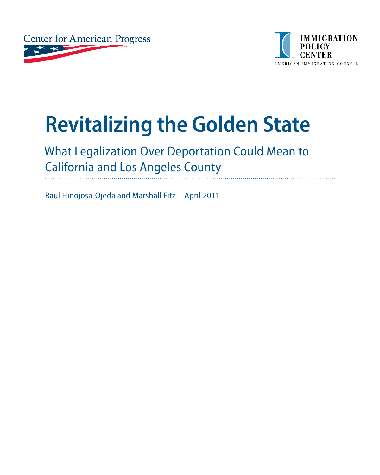



# **Revitalizing the Golden State**

## What Legalization Over Deportation Could Mean to California and Los Angeles County

Raul Hinojosa-Ojeda and Marshall Fitz April 2011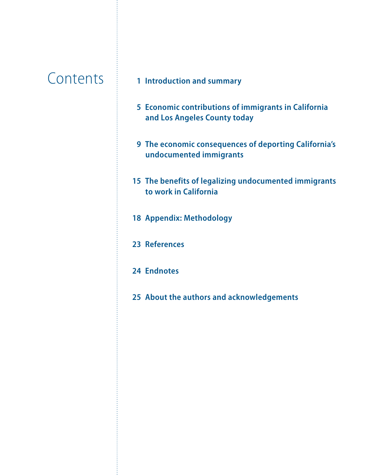## **Contents**

- **[Introduction and summary](#page-3-0)**
- **[Economic contributions of immigrants in California](#page-7-0)  [and Los Angeles County today](#page-7-0)**
- **[The economic consequences of deporting California's](#page-11-0)  [undocumented immigrants](#page-11-0)**
- **[The benefits of legalizing undocumented immigrants](#page-17-0)  [to work in California](#page-17-0)**
- **[Appendix: Methodology](#page-20-0)**
- **[References](#page-25-0)**
- **[Endnotes](#page-26-0)**
- **[About the authors](#page-27-0) and a[cknowledgements](#page-27-0)**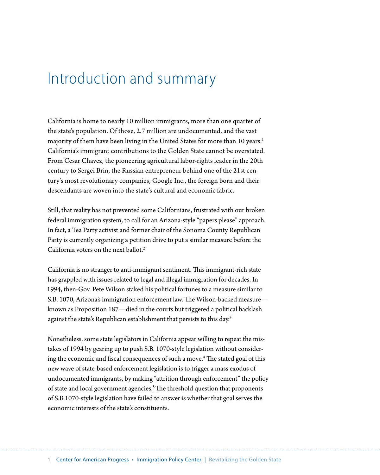## <span id="page-3-0"></span>Introduction and summary

California is home to nearly 10 million immigrants, more than one quarter of the state's population. Of those, 2.7 million are undocumented, and the vast majority of them have been living in the United States for more than 10 years.<sup>1</sup> California's immigrant contributions to the Golden State cannot be overstated. From Cesar Chavez, the pioneering agricultural labor-rights leader in the 20th century to Sergei Brin, the Russian entrepreneur behind one of the 21st century's most revolutionary companies, Google Inc., the foreign born and their descendants are woven into the state's cultural and economic fabric.

Still, that reality has not prevented some Californians, frustrated with our broken federal immigration system, to call for an Arizona-style "papers please" approach. In fact, a Tea Party activist and former chair of the Sonoma County Republican Party is currently organizing a petition drive to put a similar measure before the California voters on the next ballot.<sup>2</sup>

California is no stranger to anti-immigrant sentiment. This immigrant-rich state has grappled with issues related to legal and illegal immigration for decades. In 1994, then-Gov. Pete Wilson staked his political fortunes to a measure similar to S.B. 1070, Arizona's immigration enforcement law. The Wilson-backed measure known as Proposition 187—died in the courts but triggered a political backlash against the state's Republican establishment that persists to this day.<sup>3</sup>

Nonetheless, some state legislators in California appear willing to repeat the mistakes of 1994 by gearing up to push S.B. 1070-style legislation without considering the economic and fiscal consequences of such a move.4 The stated goal of this new wave of state-based enforcement legislation is to trigger a mass exodus of undocumented immigrants, by making "attrition through enforcement" the policy of state and local government agencies.<sup>5</sup> The threshold question that proponents of S.B.1070-style legislation have failed to answer is whether that goal serves the economic interests of the state's constituents.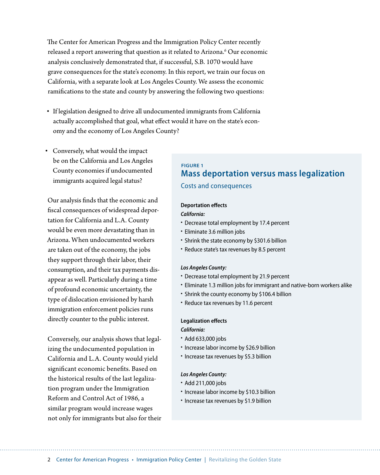The Center for American Progress and the Immigration Policy Center recently released a report answering that question as it related to Arizona.<sup>6</sup> Our economic analysis conclusively demonstrated that, if successful, S.B. 1070 would have grave consequences for the state's economy. In this report, we train our focus on California, with a separate look at Los Angeles County. We assess the economic ramifications to the state and county by answering the following two questions:

- If legislation designed to drive all undocumented immigrants from California actually accomplished that goal, what effect would it have on the state's economy and the economy of Los Angeles County?
- • Conversely, what would the impact be on the California and Los Angeles County economies if undocumented immigrants acquired legal status?

Our analysis finds that the economic and fiscal consequences of widespread deportation for California and L.A. County would be even more devastating than in Arizona. When undocumented workers are taken out of the economy, the jobs they support through their labor, their consumption, and their tax payments disappear as well. Particularly during a time of profound economic uncertainty, the type of dislocation envisioned by harsh immigration enforcement policies runs directly counter to the public interest.

Conversely, our analysis shows that legalizing the undocumented population in California and L.A. County would yield significant economic benefits. Based on the historical results of the last legalization program under the Immigration Reform and Control Act of 1986, a similar program would increase wages not only for immigrants but also for their

#### **Figure 1 Mass deportation versus mass legalization** Costs and consequences

#### **Deportation effects**

#### *California:*

- Decrease total employment by 17.4 percent
- • Eliminate 3.6 million jobs
- Shrink the state economy by \$301.6 billion
- • Reduce state's tax revenues by 8.5 percent

#### *Los Angeles County:*

- Decrease total employment by 21.9 percent
- Eliminate 1.3 million jobs for immigrant and native-born workers alike
- Shrink the county economy by \$106.4 billion
- • Reduce tax revenues by 11.6 percent

#### **Legalization effects**

#### *California:*

- Add 633,000 jobs
- Increase labor income by \$26.9 billion
- Increase tax revenues by \$5.3 billion

#### *Los Angeles County:*

- Add 211,000 jobs
- Increase labor income by \$10.3 billion
- Increase tax revenues by \$1.9 billion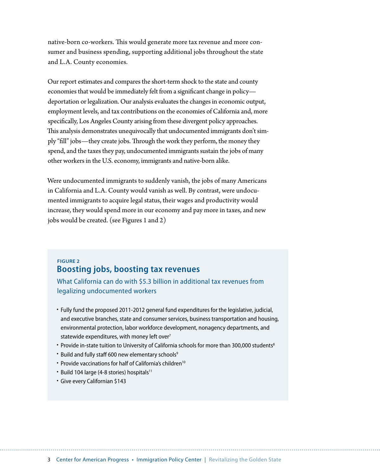native-born co-workers. This would generate more tax revenue and more consumer and business spending, supporting additional jobs throughout the state and L.A. County economies.

Our report estimates and compares the short-term shock to the state and county economies that would be immediately felt from a significant change in policy deportation or legalization. Our analysis evaluates the changes in economic output, employment levels, and tax contributions on the economies of California and, more specifically, Los Angeles County arising from these divergent policy approaches. This analysis demonstrates unequivocally that undocumented immigrants don't simply "fill" jobs—they create jobs. Through the work they perform, the money they spend, and the taxes they pay, undocumented immigrants sustain the jobs of many other workers in the U.S. economy, immigrants and native-born alike.

Were undocumented immigrants to suddenly vanish, the jobs of many Americans in California and L.A. County would vanish as well. By contrast, were undocumented immigrants to acquire legal status, their wages and productivity would increase, they would spend more in our economy and pay more in taxes, and new jobs would be created. (see Figures 1 and 2)

#### **Figure 2 Boosting jobs, boosting tax revenues**

What California can do with \$5.3 billion in additional tax revenues from legalizing undocumented workers

- • Fully fund the proposed 2011-2012 general fund expenditures for the legislative, judicial, and executive branches, state and consumer services, business transportation and housing, environmental protection, labor workforce development, nonagency departments, and statewide expenditures, with money left over $7$
- Provide in-state tuition to University of California schools for more than 300,000 students<sup>8</sup>
- Build and fully staff 600 new elementary schools<sup>9</sup>
- Provide vaccinations for half of California's children<sup>10</sup>
- Build 104 large (4-8 stories) hospitals<sup>11</sup>
- Give every Californian \$143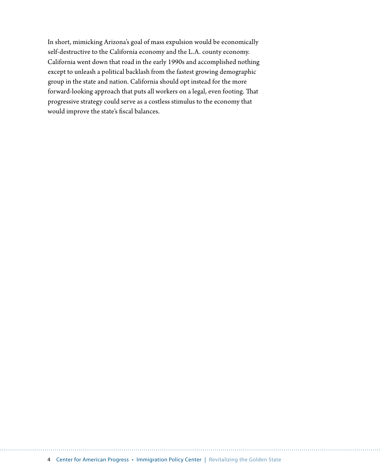In short, mimicking Arizona's goal of mass expulsion would be economically self-destructive to the California economy and the L.A. county economy. California went down that road in the early 1990s and accomplished nothing except to unleash a political backlash from the fastest growing demographic group in the state and nation. California should opt instead for the more forward-looking approach that puts all workers on a legal, even footing. That progressive strategy could serve as a costless stimulus to the economy that would improve the state's fiscal balances.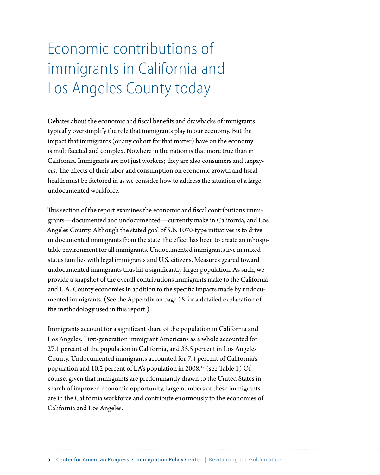# <span id="page-7-0"></span>Economic contributions of immigrants in California and Los Angeles County today

Debates about the economic and fiscal benefits and drawbacks of immigrants typically oversimplify the role that immigrants play in our economy. But the impact that immigrants (or any cohort for that matter) have on the economy is multifaceted and complex. Nowhere in the nation is that more true than in California. Immigrants are not just workers; they are also consumers and taxpayers. The effects of their labor and consumption on economic growth and fiscal health must be factored in as we consider how to address the situation of a large undocumented workforce.

This section of the report examines the economic and fiscal contributions immigrants—documented and undocumented—currently make in California, and Los Angeles County. Although the stated goal of S.B. 1070-type initiatives is to drive undocumented immigrants from the state, the effect has been to create an inhospitable environment for all immigrants. Undocumented immigrants live in mixedstatus families with legal immigrants and U.S. citizens. Measures geared toward undocumented immigrants thus hit a significantly larger population. As such, we provide a snapshot of the overall contributions immigrants make to the California and L.A. County economies in addition to the specific impacts made by undocumented immigrants. (See the Appendix on page 18 for a detailed explanation of the methodology used in this report.)

Immigrants account for a significant share of the population in California and Los Angeles. First-generation immigrant Americans as a whole accounted for 27.1 percent of the population in California, and 35.5 percent in Los Angeles County. Undocumented immigrants accounted for 7.4 percent of California's population and 10.2 percent of LA's population in 2008.<sup>12</sup> (see Table 1) Of course, given that immigrants are predominantly drawn to the United States in search of improved economic opportunity, large numbers of these immigrants are in the California workforce and contribute enormously to the economies of California and Los Angeles.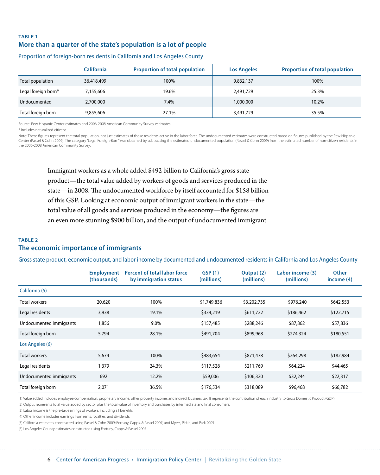#### **Table 1 More than a quarter of the state's population is a lot of people**

|                     | <b>California</b> | <b>Proportion of total population</b> | <b>Los Angeles</b> | <b>Proportion of total population</b> |
|---------------------|-------------------|---------------------------------------|--------------------|---------------------------------------|
| Total population    | 36,418,499        | 100%                                  | 9,832,137          | 100%                                  |
| Legal foreign born* | 7,155,606         | 19.6%                                 | 2,491,729          | 25.3%                                 |
| Undocumented        | 2,700,000         | 7.4%                                  | 1,000,000          | 10.2%                                 |
| Total foreign born  | 9,855,606         | 27.1%                                 | 3,491,729          | 35.5%                                 |

#### Proportion of foreign-born residents in California and Los Angeles County

Source: Pew Hispanic Center estimates and 2006-2008 American Community Survey estimates.

\* Includes naturalized citizens.

Note: These figures represent the total population, not just estimates of those residents active in the labor force. The undocumented estimates were constructed based on figures published by the Pew Hispanic Center (Passel & Cohn 2009). The category "Legal Foreign-Born" was obtained by subtracting the estimated undocumented population (Passel & Cohn 2009) from the estimated number of non-citizen residents in the 2006-2008 American Community Survey.

Immigrant workers as a whole added \$492 billion to California's gross state product—the total value added by workers of goods and services produced in the state—in 2008. The undocumented workforce by itself accounted for \$158 billion of this GSP. Looking at economic output of immigrant workers in the state—the total value of all goods and services produced in the economy—the figures are an even more stunning \$900 billion, and the output of undocumented immigrant

#### **Table 2 The economic importance of immigrants**

Gross state product, economic output, and labor income by documented and undocumented residents in California and Los Angeles County

|                         | <b>Employment</b><br>(thousands) | <b>Percent of total labor force</b><br>by immigration status | GSP(1)<br>(millions) | Output (2)<br>(millions) | Labor income (3)<br>(millions) | <b>Other</b><br>income $(4)$ |
|-------------------------|----------------------------------|--------------------------------------------------------------|----------------------|--------------------------|--------------------------------|------------------------------|
| California (5)          |                                  |                                                              |                      |                          |                                |                              |
| Total workers           | 20,620                           | 100%                                                         | \$1,749,836          | \$3,202,735              | \$976,240                      | \$642,553                    |
| Legal residents         | 3,938                            | 19.1%                                                        | \$334,219            | \$611,722                | \$186,462                      | \$122,715                    |
| Undocumented immigrants | 1,856                            | 9.0%                                                         | \$157,485            | \$288,246                | \$87,862                       | \$57,836                     |
| Total foreign born      | 5,794                            | 28.1%                                                        | \$491,704            | \$899,968                | \$274,324                      | \$180,551                    |
| Los Angeles (6)         |                                  |                                                              |                      |                          |                                |                              |
| <b>Total workers</b>    | 5,674                            | 100%                                                         | \$483,654            | \$871,478                | \$264,298                      | \$182,984                    |
| Legal residents         | 1,379                            | 24.3%                                                        | \$117,528            | \$211,769                | \$64,224                       | \$44,465                     |
| Undocumented immigrants | 692                              | 12.2%                                                        | \$59,006             | \$106,320                | \$32,244                       | \$22,317                     |
| Total foreign born      | 2,071                            | 36.5%                                                        | \$176,534            | \$318,089                | \$96,468                       | \$66,782                     |

(1) Value added includes employee compensation, proprietary income, other property income, and indirect business tax. It represents the contribution of each industry to Gross Domestic Product (GDP). (2) Output represents total value added by sector plus the total value of inventory and purchases by intermediate and final consumers.

(3) Labor income is the pre-tax earnings of workers, including all benefits.

(4) Other income includes earnings from rents, royalties, and dividends.

(5) California estimates constructed using Passel & Cohn 2009; Fortuny, Capps, & Passel 2007; and Myers, Pitkin, and Park 2005.

(6) Los Angeles County estimates constructed using Fortuny, Capps & Passel 2007.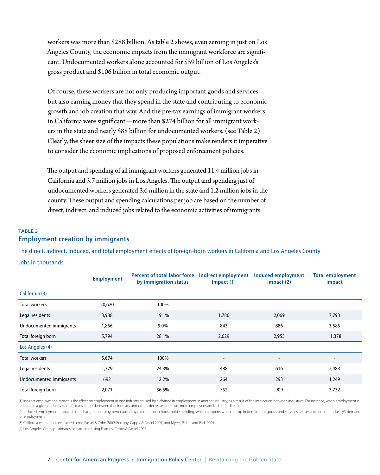workers was more than \$288 billion. As table 2 shows, even zeroing in just on Los Angeles County, the economic impacts from the immigrant workforce are significant. Undocumented workers alone accounted for \$59 billion of Los Angeles's gross product and \$106 billion in total economic output.

Of course, these workers are not only producing important goods and services but also earning money that they spend in the state and contributing to economic growth and job creation that way. And the pre-tax earnings of immigrant workers in California were significant—more than \$274 billion for all immigrant workers in the state and nearly \$88 billion for undocumented workers. (see Table 2) Clearly, the sheer size of the impacts these populations make renders it imperative to consider the economic implications of proposed enforcement policies.

The output and spending of all immigrant workers generated 11.4 million jobs in California and 3.7 million jobs in Los Angeles. The output and spending just of undocumented workers generated 3.6 million in the state and 1.2 million jobs in the county. These output and spending calculations per job are based on the number of direct, indirect, and induced jobs related to the economic activities of immigrants

#### **Table 3 Employment creation by immigrants**

The direct, indirect, induced, and total employment effects of foreign-born workers in California and Los Angeles County

Jobs in thousands

|                         | <b>Employment</b> | <b>Percent of total labor force</b><br>by immigration status | Indirect employment<br>impact (1) | <b>Induced employment</b><br>impact(2) | <b>Total employment</b><br>impact |
|-------------------------|-------------------|--------------------------------------------------------------|-----------------------------------|----------------------------------------|-----------------------------------|
| California (3)          |                   |                                                              |                                   |                                        |                                   |
| Total workers           | 20,620            | 100%                                                         | $\overline{\phantom{a}}$          | $\overline{\phantom{a}}$               | $\overline{\phantom{0}}$          |
| Legal residents         | 3,938             | 19.1%                                                        | 1,786                             | 2,069                                  | 7,793                             |
| Undocumented immigrants | 1,856             | 9.0%                                                         | 843                               | 886                                    | 3,585                             |
| Total foreign born      | 5,794             | 28.1%                                                        | 2,629                             | 2,955                                  | 11,378                            |
| Los Angeles (4)         |                   |                                                              |                                   |                                        |                                   |
| Total workers           | 5,674             | 100%                                                         | $\overline{\phantom{a}}$          | $\overline{\phantom{a}}$               | $\overline{\phantom{a}}$          |
| Legal residents         | 1,379             | 24.3%                                                        | 488                               | 616                                    | 2,483                             |
| Undocumented immigrants | 692               | 12.2%                                                        | 264                               | 293                                    | 1,249                             |
| Total foreign born      | 2,071             | 36.5%                                                        | 752                               | 909                                    | 3,732                             |

(1) Indirect employment impact is the effect on employment in one industry caused by a change in employment in another industry, as a result of the interaction between industries. For instance, when employment is reduced in a given industry (direct), transactions between that industry and others decrease, and thus, more employees are laid off (indirect). (2) Induced employment impact is the change in employment caused by a reduction in household spending, which happens when a drop in demand for goods and services causes a drop in an industry's demand

for employment.

(3) California estimates constructed using Passel & Cohn 2009; Fortuny, Capps, & Passel 2007; and Myers, Pitkin, and Park 2005.

(4) Los Angeles County estimates constructed using Fortuny, Capps & Passel 2007.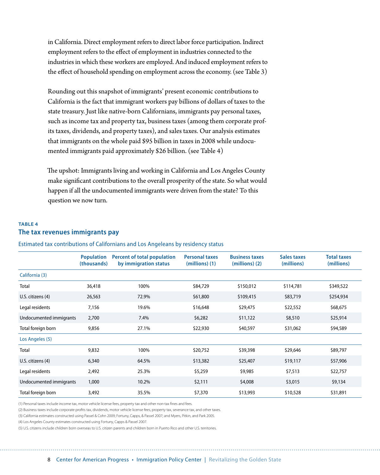in California. Direct employment refers to direct labor force participation. Indirect employment refers to the effect of employment in industries connected to the industries in which these workers are employed. And induced employment refers to the effect of household spending on employment across the economy. (see Table 3)

Rounding out this snapshot of immigrants' present economic contributions to California is the fact that immigrant workers pay billions of dollars of taxes to the state treasury. Just like native-born Californians, immigrants pay personal taxes, such as income tax and property tax, business taxes (among them corporate profits taxes, dividends, and property taxes), and sales taxes. Our analysis estimates that immigrants on the whole paid \$95 billion in taxes in 2008 while undocumented immigrants paid approximately \$26 billion. (see Table 4)

The upshot: Immigrants living and working in California and Los Angeles County make significant contributions to the overall prosperity of the state. So what would happen if all the undocumented immigrants were driven from the state? To this question we now turn.

#### **Table 4 The tax revenues immigrants pay**

Estimated tax contributions of Californians and Los Angeleans by residency status

|                         | <b>Population</b><br>(thousands) | <b>Percent of total population</b><br>by immigration status | <b>Personal taxes</b><br>(millions) (1) | <b>Business taxes</b><br>$(millions)$ $(2)$ | Sales taxes<br>(millions) | <b>Total taxes</b><br>(millions) |
|-------------------------|----------------------------------|-------------------------------------------------------------|-----------------------------------------|---------------------------------------------|---------------------------|----------------------------------|
| California (3)          |                                  |                                                             |                                         |                                             |                           |                                  |
| Total                   | 36,418                           | 100%                                                        | \$84,729                                | \$150,012                                   | \$114,781                 | \$349,522                        |
| U.S. citizens (4)       | 26,563                           | 72.9%                                                       | \$61,800                                | \$109,415                                   | \$83,719                  | \$254,934                        |
| Legal residents         | 7,156                            | 19.6%                                                       | \$16,648                                | \$29,475                                    | \$22,552                  | \$68,675                         |
| Undocumented immigrants | 2,700                            | 7.4%                                                        | \$6,282                                 | \$11,122                                    | \$8,510                   | \$25,914                         |
| Total foreign born      | 9,856                            | 27.1%                                                       | \$22,930                                | \$40,597                                    | \$31,062                  | \$94,589                         |
| Los Angeles (5)         |                                  |                                                             |                                         |                                             |                           |                                  |
| Total                   | 9,832                            | 100%                                                        | \$20,752                                | \$39,398                                    | \$29,646                  | \$89,797                         |
| U.S. citizens (4)       | 6,340                            | 64.5%                                                       | \$13,382                                | \$25,407                                    | \$19,117                  | \$57,906                         |
| Legal residents         | 2,492                            | 25.3%                                                       | \$5,259                                 | \$9,985                                     | \$7,513                   | \$22,757                         |
| Undocumented immigrants | 1,000                            | 10.2%                                                       | \$2,111                                 | \$4,008                                     | \$3,015                   | \$9,134                          |
| Total foreign born      | 3,492                            | 35.5%                                                       | \$7,370                                 | \$13,993                                    | \$10,528                  | \$31,891                         |

(1) Personal taxes include income tax, motor vehicle license fees, property tax and other non-tax fines and fees.

(2) Business taxes include corporate profits tax, dividends, motor vehicle license fees, property tax, severance tax, and other taxes.

(3) California estimates constructed using Passel & Cohn 2009; Fortuny, Capps, & Passel 2007; and Myers, Pitkin, and Park 2005.

(4) Los Angeles County estimates constructed using Fortuny, Capps & Passel 2007.

(5) U.S. citizens include children born overseas to U.S. citizen parents and children born in Puerto Rico and other U.S. territories.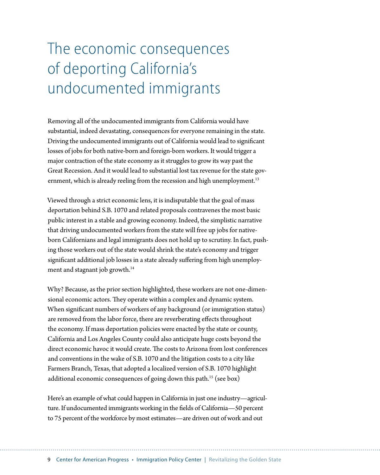# <span id="page-11-0"></span>The economic consequences of deporting California's undocumented immigrants

Removing all of the undocumented immigrants from California would have substantial, indeed devastating, consequences for everyone remaining in the state. Driving the undocumented immigrants out of California would lead to significant losses of jobs for both native-born and foreign-born workers. It would trigger a major contraction of the state economy as it struggles to grow its way past the Great Recession. And it would lead to substantial lost tax revenue for the state government, which is already reeling from the recession and high unemployment.<sup>13</sup>

Viewed through a strict economic lens, it is indisputable that the goal of mass deportation behind S.B. 1070 and related proposals contravenes the most basic public interest in a stable and growing economy. Indeed, the simplistic narrative that driving undocumented workers from the state will free up jobs for nativeborn Californians and legal immigrants does not hold up to scrutiny. In fact, pushing those workers out of the state would shrink the state's economy and trigger significant additional job losses in a state already suffering from high unemployment and stagnant job growth.14

Why? Because, as the prior section highlighted, these workers are not one-dimensional economic actors. They operate within a complex and dynamic system. When significant numbers of workers of any background (or immigration status) are removed from the labor force, there are reverberating effects throughout the economy. If mass deportation policies were enacted by the state or county, California and Los Angeles County could also anticipate huge costs beyond the direct economic havoc it would create. The costs to Arizona from lost conferences and conventions in the wake of S.B. 1070 and the litigation costs to a city like Farmers Branch, Texas, that adopted a localized version of S.B. 1070 highlight additional economic consequences of going down this path.<sup>15</sup> (see box)

Here's an example of what could happen in California in just one industry—agriculture. If undocumented immigrants working in the fields of California—50 percent to 75 percent of the workforce by most estimates—are driven out of work and out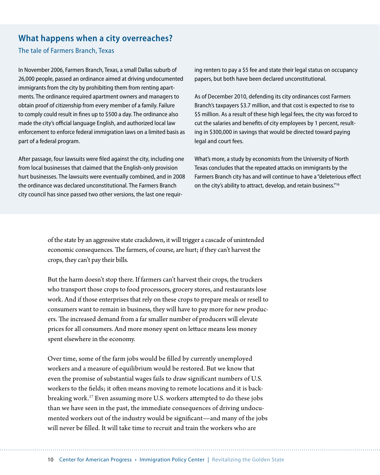#### **What happens when a city overreaches?**

#### The tale of Farmers Branch, Texas

In November 2006, Farmers Branch, Texas, a small Dallas suburb of 26,000 people, passed an ordinance aimed at driving undocumented immigrants from the city by prohibiting them from renting apartments. The ordinance required apartment owners and managers to obtain proof of citizenship from every member of a family. Failure to comply could result in fines up to \$500 a day. The ordinance also made the city's official language English, and authorized local law enforcement to enforce federal immigration laws on a limited basis as part of a federal program.

After passage, four lawsuits were filed against the city, including one from local businesses that claimed that the English-only provision hurt businesses. The lawsuits were eventually combined, and in 2008 the ordinance was declared unconstitutional. The Farmers Branch city council has since passed two other versions, the last one requiring renters to pay a \$5 fee and state their legal status on occupancy papers, but both have been declared unconstitutional.

As of December 2010, defending its city ordinances cost Farmers Branch's taxpayers \$3.7 million, and that cost is expected to rise to \$5 million. As a result of these high legal fees, the city was forced to cut the salaries and benefits of city employees by 1 percent, resulting in \$300,000 in savings that would be directed toward paying legal and court fees.

What's more, a study by economists from the University of North Texas concludes that the repeated attacks on immigrants by the Farmers Branch city has and will continue to have a "deleterious effect on the city's ability to attract, develop, and retain business."16

of the state by an aggressive state crackdown, it will trigger a cascade of unintended economic consequences. The farmers, of course, are hurt; if they can't harvest the crops, they can't pay their bills.

But the harm doesn't stop there. If farmers can't harvest their crops, the truckers who transport those crops to food processors, grocery stores, and restaurants lose work. And if those enterprises that rely on these crops to prepare meals or resell to consumers want to remain in business, they will have to pay more for new producers. The increased demand from a far smaller number of producers will elevate prices for all consumers. And more money spent on lettuce means less money spent elsewhere in the economy.

Over time, some of the farm jobs would be filled by currently unemployed workers and a measure of equilibrium would be restored. But we know that even the promise of substantial wages fails to draw significant numbers of U.S. workers to the fields; it often means moving to remote locations and it is backbreaking work.17 Even assuming more U.S. workers attempted to do these jobs than we have seen in the past, the immediate consequences of driving undocumented workers out of the industry would be significant—and many of the jobs will never be filled. It will take time to recruit and train the workers who are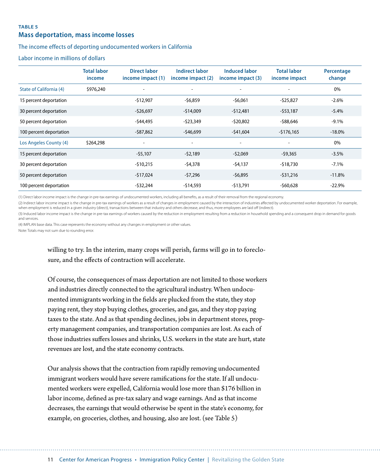#### **Table 5**

#### **Mass deportation, mass income losses**

#### The income effects of deporting undocumented workers in California

Labor income in millions of dollars

|                         | <b>Total labor</b><br>income | <b>Direct labor</b><br>income impact (1) | <b>Indirect labor</b><br>income impact (2) | <b>Induced labor</b><br>income impact (3) | <b>Total labor</b><br>income impact | Percentage<br>change |
|-------------------------|------------------------------|------------------------------------------|--------------------------------------------|-------------------------------------------|-------------------------------------|----------------------|
| State of California (4) | \$976,240                    |                                          |                                            |                                           |                                     | 0%                   |
| 15 percent deportation  |                              | $-$12,907$                               | $-56,859$                                  | $-56,061$                                 | $-525,827$                          | $-2.6%$              |
| 30 percent deportation  |                              | $-526,697$                               | $-$14,009$                                 | $-512,481$                                | $-553,187$                          | $-5.4%$              |
| 50 percent deportation  |                              | -\$44,495                                | -\$23,349                                  | -\$20,802                                 | -\$88,646                           | $-9.1%$              |
| 100 percent deportation |                              | -\$87,862                                | -\$46,699                                  | $-541,604$                                | $-5176,165$                         | $-18.0%$             |
| Los Angeles County (4)  | \$264,298                    |                                          |                                            |                                           |                                     | 0%                   |
| 15 percent deportation  |                              | $-55,107$                                | $-52,189$                                  | $-52,069$                                 | $-$ \$9,365                         | $-3.5%$              |
| 30 percent deportation  |                              | $-510,215$                               | -\$4,378                                   | $-54,137$                                 | -\$18,730                           | $-7.1%$              |
| 50 percent deportation  |                              | $-517,024$                               | -\$7,296                                   | $-56,895$                                 | $-531,216$                          | $-11.8%$             |
| 100 percent deportation |                              | -\$32,244                                | -\$14,593                                  | -\$13,791                                 | -\$60,628                           | $-22.9%$             |

(1) Direct labor income impact is the change in pre-tax earnings of undocumented workers, including all benefits, as a result of their removal from the regional economy.

(2) Indirect labor income impact is the change in pre-tax earnings of workers as a result of changes in employment caused by the interaction of industries affected by undocumented worker deportation. For example, when employment is reduced in a given industry (direct), transactions between that industry and others decrease, and thus, more employees are laid off (indirect).

(3) Induced labor income impact is the change in pre-tax earnings of workers caused by the reduction in employment resulting from a reduction in household spending and a consequent drop in demand for goods and services.

(4) IMPLAN base data. This case represents the economy without any changes in employment or other values. Note: Totals may not sum due to rounding error.

> willing to try. In the interim, many crops will perish, farms will go in to foreclosure, and the effects of contraction will accelerate.

> Of course, the consequences of mass deportation are not limited to those workers and industries directly connected to the agricultural industry. When undocumented immigrants working in the fields are plucked from the state, they stop paying rent, they stop buying clothes, groceries, and gas, and they stop paying taxes to the state. And as that spending declines, jobs in department stores, property management companies, and transportation companies are lost. As each of those industries suffers losses and shrinks, U.S. workers in the state are hurt, state revenues are lost, and the state economy contracts.

Our analysis shows that the contraction from rapidly removing undocumented immigrant workers would have severe ramifications for the state. If all undocumented workers were expelled, California would lose more than \$176 billion in labor income, defined as pre-tax salary and wage earnings. And as that income decreases, the earnings that would otherwise be spent in the state's economy, for example, on groceries, clothes, and housing, also are lost. (see Table 5)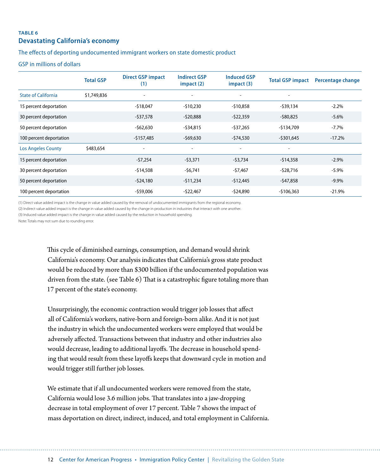#### **Table 6 Devastating California's economy**

#### The effects of deporting undocumented immigrant workers on state domestic product

GSP in millions of dollars

|                            | <b>Total GSP</b> | <b>Direct GSP impact</b><br>(1) | <b>Indirect GSP</b><br>$im$ pact $(2)$ | <b>Induced GSP</b><br>impact(3) | <b>Total GSP impact</b>  | Percentage change |
|----------------------------|------------------|---------------------------------|----------------------------------------|---------------------------------|--------------------------|-------------------|
| <b>State of California</b> | \$1,749,836      |                                 | $\overline{\phantom{a}}$               | $\overline{\phantom{0}}$        |                          |                   |
| 15 percent deportation     |                  | $-$18,047$                      | $-510,230$                             | $-510,858$                      | -\$39,134                | $-2.2%$           |
| 30 percent deportation     |                  | -\$37,578                       | $-520,888$                             | $-522,359$                      | $-$ \$80,825             | $-5.6%$           |
| 50 percent deportation     |                  | $-$ \$62,630                    | -\$34,815                              | -\$37,265                       | -\$134,709               | $-7.7\%$          |
| 100 percent deportation    |                  | $-$157,485$                     | $-$ \$69,630                           | $-574,530$                      | $-$ \$301,645            | $-17.2%$          |
| <b>Los Angeles County</b>  | \$483,654        | -                               | $\overline{\phantom{a}}$               | $\overline{a}$                  | $\overline{\phantom{0}}$ |                   |
| 15 percent deportation     |                  | $-57,254$                       | $-53,371$                              | $-53,734$                       | $-514,358$               | $-2.9%$           |
| 30 percent deportation     |                  | $-$14,508$                      | $-56,741$                              | $-57,467$                       | $-528,716$               | $-5.9\%$          |
| 50 percent deportation     |                  | $-524,180$                      | $-511,234$                             | $-512,445$                      | -\$47,858                | $-9.9\%$          |
| 100 percent deportation    |                  | -\$59,006                       | -\$22,467                              | -\$24,890                       | $-$106,363$              | $-21.9%$          |

(1) Direct value added impact is the change in value added caused by the removal of undocumented immigrants from the regional economy.

(2) Indirect value added impact is the change in value added caused by the change in production in industries that interact with one another.

(3) Induced value added impact is the change in value added caused by the reduction in household spending.

Note: Totals may not sum due to rounding error.

This cycle of diminished earnings, consumption, and demand would shrink California's economy. Our analysis indicates that California's gross state product would be reduced by more than \$300 billion if the undocumented population was driven from the state. (see Table 6) That is a catastrophic figure totaling more than 17 percent of the state's economy.

Unsurprisingly, the economic contraction would trigger job losses that affect all of California's workers, native-born and foreign-born alike. And it is not just the industry in which the undocumented workers were employed that would be adversely affected. Transactions between that industry and other industries also would decrease, leading to additional layoffs. The decrease in household spending that would result from these layoffs keeps that downward cycle in motion and would trigger still further job losses.

We estimate that if all undocumented workers were removed from the state, California would lose 3.6 million jobs. That translates into a jaw-dropping decrease in total employment of over 17 percent. Table 7 shows the impact of mass deportation on direct, indirect, induced, and total employment in California.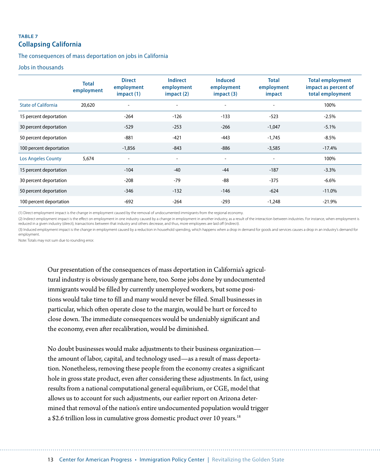#### **Table 7 Collapsing California**

#### The consequences of mass deportation on jobs in California

#### Jobs in thousands

|                            | <b>Total</b><br>employment | <b>Direct</b><br>employment<br>impact(1) | <b>Indirect</b><br>employment<br>impact(2) | <b>Induced</b><br>employment<br>impact (3) | <b>Total</b><br>employment<br>impact | <b>Total employment</b><br>impact as percent of<br>total employment |
|----------------------------|----------------------------|------------------------------------------|--------------------------------------------|--------------------------------------------|--------------------------------------|---------------------------------------------------------------------|
| <b>State of California</b> | 20,620                     | $\overline{\phantom{0}}$                 | $\overline{\phantom{a}}$                   | $\overline{\phantom{0}}$                   | $\overline{a}$                       | 100%                                                                |
| 15 percent deportation     |                            | $-264$                                   | $-126$                                     | $-133$                                     | $-523$                               | $-2.5%$                                                             |
| 30 percent deportation     |                            | $-529$                                   | $-253$                                     | $-266$                                     | $-1,047$                             | $-5.1%$                                                             |
| 50 percent deportation     |                            | $-881$                                   | $-421$                                     | $-443$                                     | $-1,745$                             | $-8.5\%$                                                            |
| 100 percent deportation    |                            | $-1,856$                                 | $-843$                                     | -886                                       | $-3,585$                             | $-17.4%$                                                            |
| <b>Los Angeles County</b>  | 5,674                      | $\overline{\phantom{0}}$                 | $\overline{\phantom{a}}$                   | $\qquad \qquad -$                          | $\overline{\phantom{0}}$             | 100%                                                                |
| 15 percent deportation     |                            | $-104$                                   | $-40$                                      | $-44$                                      | $-187$                               | $-3.3\%$                                                            |
| 30 percent deportation     |                            | $-208$                                   | $-79$                                      | -88                                        | $-375$                               | $-6.6\%$                                                            |
| 50 percent deportation     |                            | $-346$                                   | $-132$                                     | $-146$                                     | $-624$                               | $-11.0%$                                                            |
| 100 percent deportation    |                            | $-692$                                   | $-264$                                     | $-293$                                     | $-1,248$                             | $-21.9%$                                                            |

(1) Direct employment impact is the change in employment caused by the removal of undocumented immigrants from the regional economy.

(2) Indirect employment impact is the effect on employment in one industry caused by a change in employment in another industry, as a result of the interaction between industries. For instance, when employment is reduced in a given industry (direct), transactions between that industry and others decrease, and thus, more employees are laid off (indirect).

(3) Induced employment impact is the change in employment caused by a reduction in household spending, which happens when a drop in demand for goods and services causes a drop in an industry's demand for employment.

Note: Totals may not sum due to rounding error.

Our presentation of the consequences of mass deportation in California's agricultural industry is obviously germane here, too. Some jobs done by undocumented immigrants would be filled by currently unemployed workers, but some positions would take time to fill and many would never be filled. Small businesses in particular, which often operate close to the margin, would be hurt or forced to close down. The immediate consequences would be undeniably significant and the economy, even after recalibration, would be diminished.

No doubt businesses would make adjustments to their business organization the amount of labor, capital, and technology used—as a result of mass deportation. Nonetheless, removing these people from the economy creates a significant hole in gross state product, even after considering these adjustments. In fact, using results from a national computational general equilibrium, or CGE, model that allows us to account for such adjustments, our earlier report on Arizona determined that removal of the nation's entire undocumented population would trigger a \$2.6 trillion loss in cumulative gross domestic product over 10 years.<sup>18</sup>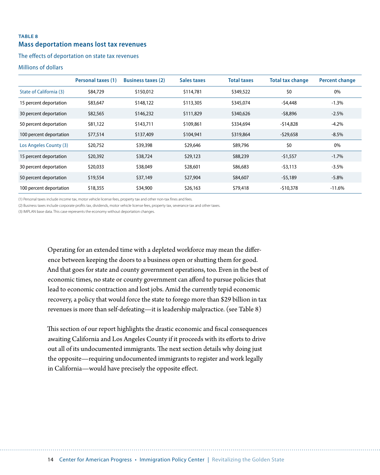#### **Table 8 Mass deportation means lost tax revenues**

#### The effects of deportation on state tax revenues

#### Millions of dollars

|                         | Personal taxes (1) | <b>Business taxes (2)</b> | Sales taxes | <b>Total taxes</b> | <b>Total tax change</b> | <b>Percent change</b> |
|-------------------------|--------------------|---------------------------|-------------|--------------------|-------------------------|-----------------------|
| State of California (3) | \$84,729           | \$150,012                 | \$114,781   | \$349,522          | \$0                     | $0\%$                 |
| 15 percent deportation  | \$83,647           | \$148,122                 | \$113,305   | \$345,074          | $-54,448$               | $-1.3%$               |
| 30 percent deportation  | \$82,565           | \$146,232                 | \$111,829   | \$340,626          | $-58,896$               | $-2.5%$               |
| 50 percent deportation  | \$81,122           | \$143,711                 | \$109,861   | \$334,694          | $-514,828$              | $-4.2%$               |
| 100 percent deportation | \$77,514           | \$137,409                 | \$104,941   | \$319,864          | $-529,658$              | $-8.5\%$              |
| Los Angeles County (3)  | \$20,752           | \$39,398                  | \$29,646    | \$89,796           | \$0                     | 0%                    |
| 15 percent deportation  | \$20,392           | \$38,724                  | \$29,123    | \$88,239           | $-51,557$               | $-1.7\%$              |
| 30 percent deportation  | \$20,033           | \$38,049                  | \$28,601    | \$86,683           | $-53.113$               | $-3.5%$               |
| 50 percent deportation  | \$19,554           | \$37,149                  | \$27,904    | \$84,607           | $-55,189$               | $-5.8\%$              |
| 100 percent deportation | \$18,355           | \$34,900                  | \$26,163    | \$79,418           | $-510,378$              | $-11.6%$              |

(1) Personal taxes include income tax, motor vehicle license fees, property tax and other non-tax fines and fees.

(2) Business taxes include corporate profits tax, dividends, motor vehicle license fees, property tax, severance tax and other taxes.

(3) IMPLAN base data. This case represents the economy without deportation changes.

Operating for an extended time with a depleted workforce may mean the difference between keeping the doors to a business open or shutting them for good. And that goes for state and county government operations, too. Even in the best of economic times, no state or county government can afford to pursue policies that lead to economic contraction and lost jobs. Amid the currently tepid economic recovery, a policy that would force the state to forego more than \$29 billion in tax revenues is more than self-defeating—it is leadership malpractice. (see Table 8)

This section of our report highlights the drastic economic and fiscal consequences awaiting California and Los Angeles County if it proceeds with its efforts to drive out all of its undocumented immigrants. The next section details why doing just the opposite—requiring undocumented immigrants to register and work legally in California—would have precisely the opposite effect.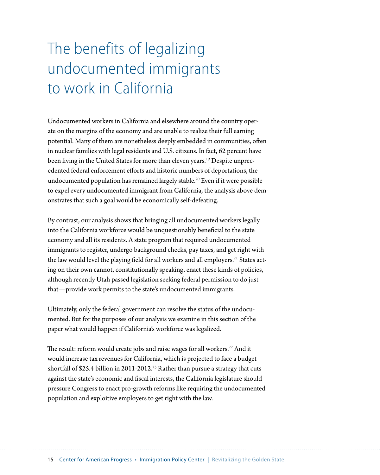# <span id="page-17-0"></span>The benefits of legalizing undocumented immigrants to work in California

Undocumented workers in California and elsewhere around the country operate on the margins of the economy and are unable to realize their full earning potential. Many of them are nonetheless deeply embedded in communities, often in nuclear families with legal residents and U.S. citizens. In fact, 62 percent have been living in the United States for more than eleven years.<sup>19</sup> Despite unprecedented federal enforcement efforts and historic numbers of deportations, the undocumented population has remained largely stable.<sup>20</sup> Even if it were possible to expel every undocumented immigrant from California, the analysis above demonstrates that such a goal would be economically self-defeating.

By contrast, our analysis shows that bringing all undocumented workers legally into the California workforce would be unquestionably beneficial to the state economy and all its residents. A state program that required undocumented immigrants to register, undergo background checks, pay taxes, and get right with the law would level the playing field for all workers and all employers.<sup>21</sup> States acting on their own cannot, constitutionally speaking, enact these kinds of policies, although recently Utah passed legislation seeking federal permission to do just that—provide work permits to the state's undocumented immigrants.

Ultimately, only the federal government can resolve the status of the undocumented. But for the purposes of our analysis we examine in this section of the paper what would happen if California's workforce was legalized.

The result: reform would create jobs and raise wages for all workers.<sup>22</sup> And it would increase tax revenues for California, which is projected to face a budget shortfall of \$25.4 billion in 2011-2012.<sup>23</sup> Rather than pursue a strategy that cuts against the state's economic and fiscal interests, the California legislature should pressure Congress to enact pro-growth reforms like requiring the undocumented population and exploitive employers to get right with the law.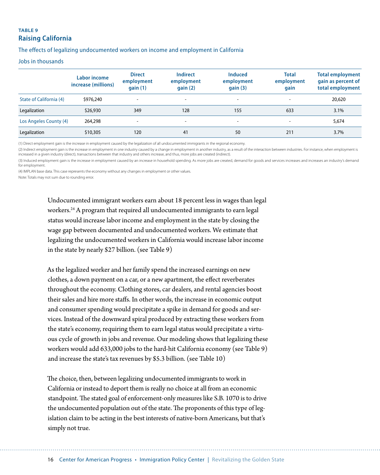#### **TABLE 9 Raising California**

The effects of legalizing undocumented workers on income and employment in California

#### Jobs in thousands

|                         | Labor income<br>increase (millions) | <b>Direct</b><br>employment<br>gain(1) | Indirect<br>employment<br>qain(2) | <b>Induced</b><br>employment<br>gain(3) | <b>Total</b><br>employment<br>gain | <b>Total employment</b><br>gain as percent of<br>total employment |
|-------------------------|-------------------------------------|----------------------------------------|-----------------------------------|-----------------------------------------|------------------------------------|-------------------------------------------------------------------|
| State of California (4) | \$976,240                           | $\overline{\phantom{a}}$               | $\overline{\phantom{a}}$          | $\overline{\phantom{0}}$                | $\overline{\phantom{0}}$           | 20,620                                                            |
| Legalization            | \$26,930                            | 349                                    | 128                               | 155                                     | 633                                | 3.1%                                                              |
| Los Angeles County (4)  | 264,298                             |                                        | $\overline{\phantom{a}}$          | $\overline{\phantom{0}}$                |                                    | 5,674                                                             |
| Legalization            | \$10,305                            | 120                                    | 41                                | 50                                      | 211                                | 3.7%                                                              |

(1) Direct employment gain is the increase in employment caused by the legalization of all undocumented immigrants in the regional economy.

(2) Indirect employment gain is the increase in employment in one industry caused by a change in employment in another industry, as a result of the interaction between industries. For instance, when employment is increased in a given industry (direct), transactions between that industry and others increase, and thus, more jobs are created (indirect).

(3) Induced employment gain is the increase in employment caused by an increase in household spending. As more jobs are created, demand for goods and services increases and increases an industry's demand for employment.

(4) IMPLAN base data. This case represents the economy without any changes in employment or other values.

Note: Totals may not sum due to rounding error.

Undocumented immigrant workers earn about 18 percent less in wages than legal workers.<sup>24</sup> A program that required all undocumented immigrants to earn legal status would increase labor income and employment in the state by closing the wage gap between documented and undocumented workers. We estimate that legalizing the undocumented workers in California would increase labor income in the state by nearly \$27 billion. (see Table 9)

As the legalized worker and her family spend the increased earnings on new clothes, a down payment on a car, or a new apartment, the effect reverberates throughout the economy. Clothing stores, car dealers, and rental agencies boost their sales and hire more staffs. In other words, the increase in economic output and consumer spending would precipitate a spike in demand for goods and services. Instead of the downward spiral produced by extracting these workers from the state's economy, requiring them to earn legal status would precipitate a virtuous cycle of growth in jobs and revenue. Our modeling shows that legalizing these workers would add 633,000 jobs to the hard-hit California economy (see Table 9) and increase the state's tax revenues by \$5.3 billion. (see Table 10)

The choice, then, between legalizing undocumented immigrants to work in California or instead to deport them is really no choice at all from an economic standpoint. The stated goal of enforcement-only measures like S.B. 1070 is to drive the undocumented population out of the state. The proponents of this type of legislation claim to be acting in the best interests of native-born Americans, but that's simply not true.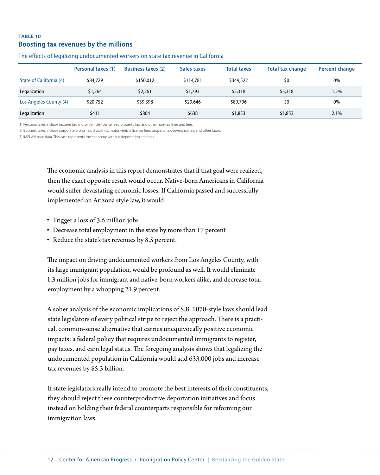#### **Table 10 Boosting tax revenues by the millions**

|                         | Personal taxes (1) | <b>Business taxes (2)</b> | Sales taxes | <b>Total taxes</b> | <b>Total tax change</b> | <b>Percent change</b> |
|-------------------------|--------------------|---------------------------|-------------|--------------------|-------------------------|-----------------------|
| State of California (4) | \$84,729           | \$150,012                 | \$114,781   | \$349,522          | \$0                     | 0%                    |
| Legalization            | \$1,264            | \$2,261                   | \$1,793     | \$5,318            | \$5,318                 | 1.5%                  |
| Los Angeles County (4)  | \$20,752           | \$39,398                  | \$29,646    | \$89,796           | \$0                     | 0%                    |
| Legalization            | \$411              | \$804                     | \$638       | \$1,853            | \$1,853                 | 2.1%                  |

#### The effects of legalizing undocumented workers on state tax revenue in California

(1) Personal taxes include income tax, motor vehicle license fees, property tax, and other non-tax fines and fees.

(2) Business taxes include corporate profits tax, dividends, motor vehicle license fees, property tax, severance tax, and other taxes.

(3) IMPLAN base data. This case represents the economy without deportation changes.

The economic analysis in this report demonstrates that if that goal were realized, then the exact opposite result would occur. Native-born Americans in California would suffer devastating economic losses. If California passed and successfully implemented an Arizona style law, it would:

- Trigger a loss of 3.6 million jobs
- Decrease total employment in the state by more than 17 percent
- Reduce the state's tax revenues by 8.5 percent.

The impact on driving undocumented workers from Los Angeles County, with its large immigrant population, would be profound as well. It would eliminate 1.3 million jobs for immigrant and native-born workers alike, and decrease total employment by a whopping 21.9 percent.

A sober analysis of the economic implications of S.B. 1070-style laws should lead state legislators of every political stripe to reject the approach. There is a practical, common-sense alternative that carries unequivocally positive economic impacts: a federal policy that requires undocumented immigrants to register, pay taxes, and earn legal status. The foregoing analysis shows that legalizing the undocumented population in California would add 633,000 jobs and increase tax revenues by \$5.3 billion.

If state legislators really intend to promote the best interests of their constituents, they should reject these counterproductive deportation initiatives and focus instead on holding their federal counterparts responsible for reforming our immigration laws.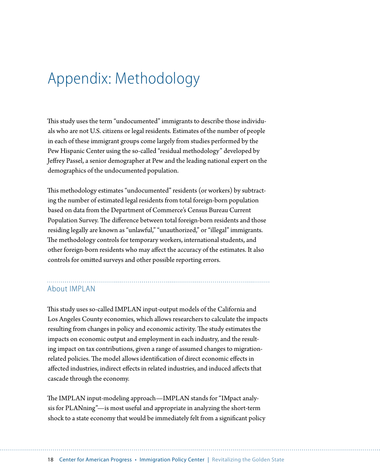# <span id="page-20-0"></span>Appendix: Methodology

This study uses the term "undocumented" immigrants to describe those individuals who are not U.S. citizens or legal residents. Estimates of the number of people in each of these immigrant groups come largely from studies performed by the Pew Hispanic Center using the so-called "residual methodology" developed by Jeffrey Passel, a senior demographer at Pew and the leading national expert on the demographics of the undocumented population.

This methodology estimates "undocumented" residents (or workers) by subtracting the number of estimated legal residents from total foreign-born population based on data from the Department of Commerce's Census Bureau Current Population Survey. The difference between total foreign-born residents and those residing legally are known as "unlawful," "unauthorized," or "illegal" immigrants. The methodology controls for temporary workers, international students, and other foreign-born residents who may affect the accuracy of the estimates. It also controls for omitted surveys and other possible reporting errors.

#### About IMPLAN

This study uses so-called IMPLAN input-output models of the California and Los Angeles County economies, which allows researchers to calculate the impacts resulting from changes in policy and economic activity. The study estimates the impacts on economic output and employment in each industry, and the resulting impact on tax contributions, given a range of assumed changes to migrationrelated policies. The model allows identification of direct economic effects in affected industries, indirect effects in related industries, and induced affects that cascade through the economy.

The IMPLAN input-modeling approach—IMPLAN stands for "IMpact analysis for PLANning"—is most useful and appropriate in analyzing the short-term shock to a state economy that would be immediately felt from a significant policy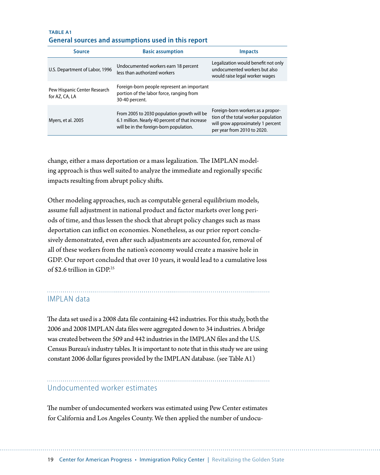#### **Table A1 General sources and assumptions used in this report**

| Source                                         | <b>Basic assumption</b>                                                                                                                   | <b>Impacts</b>                                                                                                                               |
|------------------------------------------------|-------------------------------------------------------------------------------------------------------------------------------------------|----------------------------------------------------------------------------------------------------------------------------------------------|
| U.S. Department of Labor, 1996                 | Undocumented workers earn 18 percent<br>less than authorized workers                                                                      | Legalization would benefit not only<br>undocumented workers but also<br>would raise legal worker wages                                       |
| Pew Hispanic Center Research<br>for AZ, CA, LA | Foreign-born people represent an important<br>portion of the labor force, ranging from<br>30-40 percent.                                  |                                                                                                                                              |
| Myers, et al. 2005                             | From 2005 to 2030 population growth will be<br>6.1 million. Nearly 40 percent of that increase<br>will be in the foreign-born population. | Foreign-born workers as a propor-<br>tion of the total worker population<br>will grow approximately 1 percent<br>per year from 2010 to 2020. |

change, either a mass deportation or a mass legalization. The IMPLAN modeling approach is thus well suited to analyze the immediate and regionally specific impacts resulting from abrupt policy shifts.

Other modeling approaches, such as computable general equilibrium models, assume full adjustment in national product and factor markets over long periods of time, and thus lessen the shock that abrupt policy changes such as mass deportation can inflict on economies. Nonetheless, as our prior report conclusively demonstrated, even after such adjustments are accounted for, removal of all of these workers from the nation's economy would create a massive hole in GDP. Our report concluded that over 10 years, it would lead to a cumulative loss of \$2.6 trillion in GDP<sup>25</sup>

#### IMPLAN data

The data set used is a 2008 data file containing 442 industries. For this study, both the 2006 and 2008 IMPLAN data files were aggregated down to 34 industries. A bridge was created between the 509 and 442 industries in the IMPLAN files and the U.S. Census Bureau's industry tables. It is important to note that in this study we are using constant 2006 dollar figures provided by the IMPLAN database. (see Table A1)

#### Undocumented worker estimates

The number of undocumented workers was estimated using Pew Center estimates for California and Los Angeles County. We then applied the number of undocu-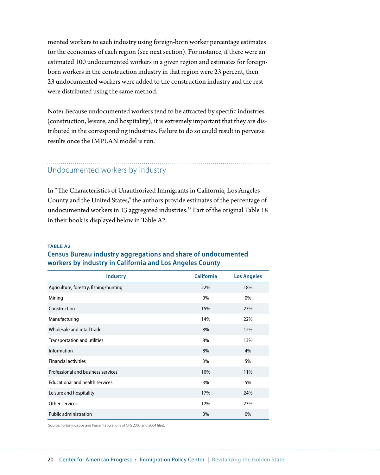mented workers to each industry using foreign-born worker percentage estimates for the economies of each region (see next section). For instance, if there were an estimated 100 undocumented workers in a given region and estimates for foreignborn workers in the construction industry in that region were 23 percent, then 23 undocumented workers were added to the construction industry and the rest were distributed using the same method.

Note**:** Because undocumented workers tend to be attracted by specific industries (construction, leisure, and hospitality), it is extremely important that they are distributed in the corresponding industries. Failure to do so could result in perverse results once the IMPLAN model is run.

#### Undocumented workers by industry

In "The Characteristics of Unauthorized Immigrants in California, Los Angeles County and the United States," the authors provide estimates of the percentage of undocumented workers in 13 aggregated industries.<sup>26</sup> Part of the original Table 18 in their book is displayed below in Table A2.

#### **Table A2**

#### **Census Bureau industry aggregations and share of undocumented workers by industry in California and Los Angeles County**

| <b>Industry</b>                        | <b>California</b> | <b>Los Angeles</b> |
|----------------------------------------|-------------------|--------------------|
| Agriculture, forestry, fishing/hunting | 22%               | 18%                |
| Mining                                 | 0%                | 0%                 |
| Construction                           | 15%               | 27%                |
| Manufacturing                          | 14%               | 22%                |
| Wholesale and retail trade             | 8%                | 12%                |
| Transportation and utilities           | 8%                | 13%                |
| Information                            | 8%                | 4%                 |
| <b>Financial activities</b>            | 3%                | 5%                 |
| Professional and business services     | 10%               | 11%                |
| Educational and health services        | 3%                | 5%                 |
| Leisure and hospitality                | 17%               | 24%                |
| Other services                         | 12%               | 23%                |
| Public administration                  | 0%                | 0%                 |

Source: Fortuny, Capps and Passel (tabulations of CPS 2003 and 2004 files).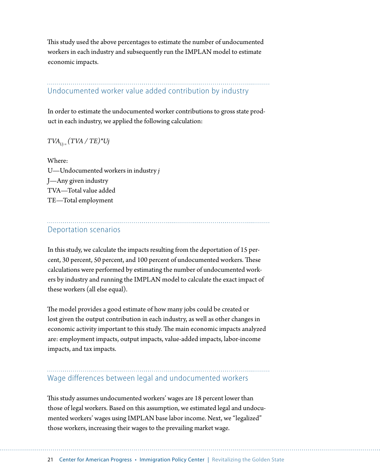This study used the above percentages to estimate the number of undocumented workers in each industry and subsequently run the IMPLAN model to estimate economic impacts.

### Undocumented worker value added contribution by industry

In order to estimate the undocumented worker contributions to gross state product in each industry, we applied the following calculation:

#### $TVA_{U} (TVA / TE)^*Uj$

Where: U—Undocumented workers in industry *j* J—Any given industry TVA—Total value added TE—Total employment

#### Deportation scenarios

In this study, we calculate the impacts resulting from the deportation of 15 percent, 30 percent, 50 percent, and 100 percent of undocumented workers. These calculations were performed by estimating the number of undocumented workers by industry and running the IMPLAN model to calculate the exact impact of these workers (all else equal).

The model provides a good estimate of how many jobs could be created or lost given the output contribution in each industry, as well as other changes in economic activity important to this study. The main economic impacts analyzed are: employment impacts, output impacts, value-added impacts, labor-income impacts, and tax impacts.

#### Wage differences between legal and undocumented workers

This study assumes undocumented workers' wages are 18 percent lower than those of legal workers. Based on this assumption, we estimated legal and undocumented workers' wages using IMPLAN base labor income. Next, we "legalized" those workers, increasing their wages to the prevailing market wage.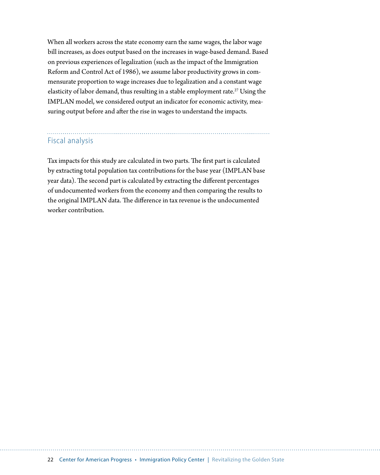When all workers across the state economy earn the same wages, the labor wage bill increases, as does output based on the increases in wage-based demand. Based on previous experiences of legalization (such as the impact of the Immigration Reform and Control Act of 1986), we assume labor productivity grows in commensurate proportion to wage increases due to legalization and a constant wage elasticity of labor demand, thus resulting in a stable employment rate.<sup>27</sup> Using the IMPLAN model, we considered output an indicator for economic activity, measuring output before and after the rise in wages to understand the impacts.

#### Fiscal analysis

Tax impacts for this study are calculated in two parts. The first part is calculated by extracting total population tax contributions for the base year (IMPLAN base year data). The second part is calculated by extracting the different percentages of undocumented workers from the economy and then comparing the results to the original IMPLAN data. The difference in tax revenue is the undocumented worker contribution.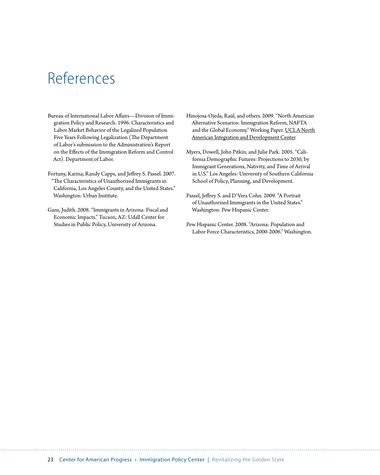# <span id="page-25-0"></span>References

- Bureau of International Labor Affairs—Division of Immigration Policy and Research. 1996. Characteristics and Labor Market Behavior of the Legalized Population Five Years Following Legalization (The Department of Labor's submission to the Administration's Report on the Effects of the Immigration Reform and Control Act). Department of Labor.
- Fortuny, Karina, Randy Capps, and Jeffrey S. Passel. 2007. "The Characteristics of Unauthorized Immigrants in California, Los Angeles County, and the United States." Washington: Urban Institute.
- Gans, Judith. 2008. "Immigrants in Arizona: Fiscal and Economic Impacts." Tucson, AZ: Udall Center for Studies in Public Policy, University of Arizona.
- Hinojosa-Ojeda, Raúl, and others. 2009. "North American Alternative Scenarios: Immigration Reform, NAFTA and the Global Economy." Working Paper. [UCLA North](http://www.naid.ucla.edu)  [American Integration and Development Center.](http://www.naid.ucla.edu)
- Myers, Dowell, John Pitkin, and Julie Park. 2005. "California Demographic Futures: Projections to 2030, by Immigrant Generations, Nativity, and Time of Arrival in U.S." Los Angeles: University of Southern California School of Policy, Planning, and Development.
- Passel, Jeffrey S. and D'Vera Cohn. 2009. "A Portrait of Unauthorized Immigrants in the United States." Washington: Pew Hispanic Center.
- Pew Hispanic Center. 2008. "Arizona: Population and Labor Force Characteristics, 2000-2006." Washington.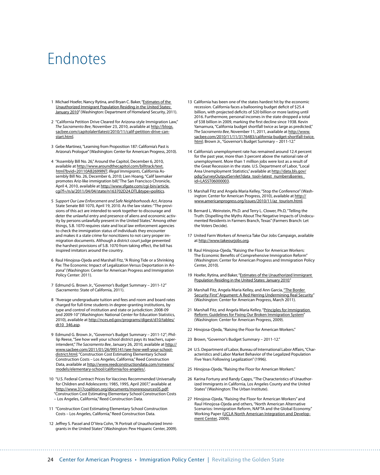### <span id="page-26-0"></span>Endnotes

- 1 Michael Hoefer, Nancy Rytina, and Bryan C. Baker, "Estimates of the [Unauthorized Immigrant Population Residing in the United States:](http://www.dhs.gov/xlibrary/assets/statistics/publications/ois_ill_pe_2010.pdf)  [January 2010](http://www.dhs.gov/xlibrary/assets/statistics/publications/ois_ill_pe_2010.pdf)" (Washington: Department of Homeland Security, 2011).
- 2 "California Petition Drive Cleared for Arizona-style Immigration Law," *The Sacramento Bee*, November 23, 2010, available at [http://blogs.](http://blogs.sacbee.com/capitolalertlatest/2010/11/calif-petition-drive-can-start.html) [sacbee.com/capitolalertlatest/2010/11/calif-petition-drive-can](http://blogs.sacbee.com/capitolalertlatest/2010/11/calif-petition-drive-can-start.html)[start.html.](http://blogs.sacbee.com/capitolalertlatest/2010/11/calif-petition-drive-can-start.html)
- 3 Gebe Martinez, "Learning from Proposition 187: California's Past is Arizona's Prologue" (Washington: Center for American Progress, 2010).
- 4 "Assembly Bill No. 26," Around the Capitol, December 6, 2010, available at [http://www.aroundthecapitol.com/billtrack/text.](http://www.aroundthecapitol.com/billtrack/text.html?bvid=20110AB2699INT) [html?bvid=20110AB2699INT](http://www.aroundthecapitol.com/billtrack/text.html?bvid=20110AB2699INT); *Illegal Immigrants*, California Assembly Bill No. 26, December 6, 2010; Lien Hoang, "Calif lawmaker promotes Ariz-like immigration bill," The San Francisco Chronicle, April 4, 2010, available at [http://www.sfgate.com/cgi-bin/article.](http://www.sfgate.com/cgi-bin/article.cgi?f=/n/a/2011/04/04/state/n163702D24.DTL&type=politics) [cgi?f=/n/a/2011/04/04/state/n163702D24.DTL&type=politics.](http://www.sfgate.com/cgi-bin/article.cgi?f=/n/a/2011/04/04/state/n163702D24.DTL&type=politics)
- 5 *Support Our Law Enforcement and Safe Neighborhoods Act*, Arizona State Senate Bill 1070, April 19, 2010. As the law states: "The provisions of this act are intended to work together to discourage and deter the unlawful entry and presence of aliens and economic activity by persons unlawfully present in the United States." Among other things, S.B. 1070 requires state and local law enforcement agencies to check the immigration status of individuals they encounter and makes it a state crime for noncitizens to not carry proper immigration documents. Although a district court judge prevented the harshest provisions of S.B. 1070 from taking effect, the bill has inspired imitators around the country.
- 6 Raul Hinojosa-Ojeda and Marshall Fitz, "A Rising Tide or a Shrinking Pie: The Economic Impact of Legalization Versus Deportation in Arizona" (Washington: Center for American Progress and Immigration Policy Center: 2011).
- 7 Edmund G. Brown Jr., "Governor's Budget Summary 2011-12" (Sacramento: State of California, 2011).
- 8 "Average undergraduate tuition and fees and room and board rates charged for full-time students in degree-granting institutions, by type and control of institution and state or jurisdiction: 2008-09 and 2009-10" (Washington: National Center for Education Statistics, 2010), available at [http://nces.ed.gov/programs/digest/d10/tables/](http://nces.ed.gov/programs/digest/d10/tables/dt10_346.asp) [dt10\\_346.asp.](http://nces.ed.gov/programs/digest/d10/tables/dt10_346.asp)
- 9 Edmund G. Brown Jr., "Governor's Budget Summary 2011-12"; Phillip Reese, "See how well your school district pays its teachers, superintendent," *The Sacramento Bee*, January 26, 2010, available at [http://](http://www.sacbee.com/2011/01/26/995141/see-how-well-your-school-district.html) [www.sacbee.com/2011/01/26/995141/see-how-well-your-school](http://www.sacbee.com/2011/01/26/995141/see-how-well-your-school-district.html)[district.html](http://www.sacbee.com/2011/01/26/995141/see-how-well-your-school-district.html); "Construction Cost Estimating Elementary School Construction Costs – Los Angeles, California," Reed Construction Data, available at [http://www.reedconstructiondata.com/rsmeans/](http://www.reedconstructiondata.com/rsmeans/models/elementary-school/california/los-angeles/) [models/elementary-school/california/los-angeles/.](http://www.reedconstructiondata.com/rsmeans/models/elementary-school/california/los-angeles/)
- 10 "U.S. Federal Contract Prices for Vaccines Recommended Universally for Children and Adolescents: 1985, 1995, April 2007," available at <http://www.317coalition.org/documents/moreresources05.pdf>; "Construction Cost Estimating Elementary School Construction Costs – Los Angeles, California," Reed Construction Data.
- 11 "Construction Cost Estimating Elementary School Construction Costs – Los Angeles, California," Reed Construction Data.
- 12 Jeffrey S. Passel and D'Vera Cohn, "A Portrait of Unauthorized Immigrants in the United States" (Washington: Pew Hispanic Center, 2009).
- 13 California has been one of the states hardest hit by the economic recession. California faces a ballooning budget deficit of \$25.4 billion, with projected deficits of \$20 billion or more lasting until 2016. Furthermore, personal incomes in the state dropped a total of \$38 billion in 2009, marking the first decline since 1938. Kevin Yamamura, "California budget shortfall twice as large as predicted," *The Sacramento Bee*, November 11, 2011, available at [http://www.](http://www.sacbee.com/2010/11/11/3176483/california-budget-shortfall-twice.html) [sacbee.com/2010/11/11/3176483/california-budget-shortfall-twice.](http://www.sacbee.com/2010/11/11/3176483/california-budget-shortfall-twice.html) [html](http://www.sacbee.com/2010/11/11/3176483/california-budget-shortfall-twice.html); Brown Jr., "Governor's Budget Summary – 2011-12."
- 14 California's unemployment rate has remained around 12.4 percent for the past year, more than 3 percent above the national rate of unemployment. More than 1 million jobs were lost as a result of the Great Recession in the state. U.S. Department of Labor, "Local Area Unemployment Statistics," available at [http://data.bls.gov/](http://data.bls.gov/pdq/SurveyOutputServlet?data_tool=latest_numbers&series_id=LASST06000003) [pdq/SurveyOutputServlet?data\\_tool=latest\\_numbers&series\\_](http://data.bls.gov/pdq/SurveyOutputServlet?data_tool=latest_numbers&series_id=LASST06000003) [id=LASST06000003](http://data.bls.gov/pdq/SurveyOutputServlet?data_tool=latest_numbers&series_id=LASST06000003).
- 15 Marshall Fitz and Angela Maria Kelley, "Stop the Conference" (Washington: Center for American Progress, 2010), available at [http://](http://www.americanprogress.org/issues/2010/11/az_tourism.html) [www.americanprogress.org/issues/2010/11/az\\_tourism.html](http://www.americanprogress.org/issues/2010/11/az_tourism.html).
- 16 Bernard L. Weinstein, Ph.D. and Terry L. Clower, Ph.D, "Telling the Truth: Dispelling the Myths About The Negative Impacts of Undocumented Residents in Farmers Branch, Texas" (Farmers Branch: Let the Voters Decide).
- 17 United Farm Workers of America Take Our Jobs Campaign, available at [http://www.takeourjobs.org.](http://www.takeourjobs.org)
- 18 Raul Hinojosa-Ojeda, "Raising the Floor for American Workers: The Economic Benefits of Comprehensive Immigration Reform" (Washington: Center for American Progress and Immigration Policy Center, 2010).
- 19 Hoefer, Rytina, and Baker, "Estimates of the Unauthorized Immigrant [Population Residing in the United States: January 2010.](http://www.dhs.gov/xlibrary/assets/statistics/publications/ois_ill_pe_2010.pdf)"
- 20 Marshall Fitz, Angela Maria Kelley, and Ann Garcia, "The Border [Security First" Argument: A Red Herring Undermining Real Security](http://www.americanprogress.org/issues/2010/08/imimgration_benchmarks.html)" (Washington: Center for American Progress, March 2011).
- 21 Marshall Fitz, and Angela Maria Kelley, "Principles for Immigration [Reform: Guidelines for Fixing Our Broken Immigration System](http://www.americanprogress.org/issues/2009/12/immigration_principles.html)" (Washington: Center for American Progress, 2009).
- 22 Hinojosa-Ojeda, "Raising the Floor for American Workers."
- 23 Brown, "Governor's Budget Summary 2011-12."
- 24 U.S. Department of Labor, Bureau of International Labor Affairs, "Characteristics and Labor Market Behavior of the Legalized Population Five Years Following Legalization" (1996).
- 25 Hinojosa-Ojeda, "Raising the Floor for American Workers."
- 26 Karina Fortuny and Randy Capps, "[The Characteristics of Unauthor](http://www.urban.org/uploadedpdf/411425_characteristics_immigrants.pdf)[ized Immigrants in California, Los Angeles County and the United](http://www.urban.org/uploadedpdf/411425_characteristics_immigrants.pdf)  [States"](http://www.urban.org/uploadedpdf/411425_characteristics_immigrants.pdf) (Washington: The Urban Institute).
- 27 Hinojosa-Ojeda, "Raising the Floor for American Workers" and Raul Hinojosa-Ojeda and others, "North American Alternative Scenarios: Immigration Reform, NAFTA and the Global Economy." Working Paper ([UCLA North American Integration and Develop](http://www.naid.ucla.edu)[ment Center](http://www.naid.ucla.edu), 2009).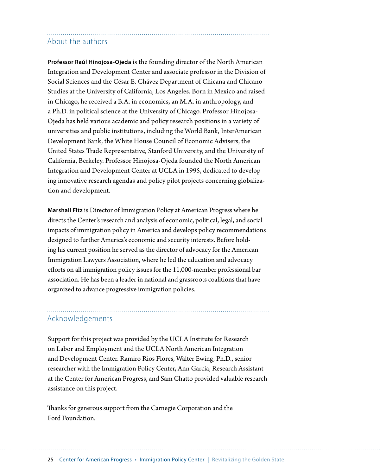#### <span id="page-27-0"></span>About the authors

**Professor Raúl Hinojosa-Ojeda** is the founding director of the North American Integration and Development Center and associate professor in the Division of Social Sciences and the César E. Chávez Department of Chicana and Chicano Studies at the University of California, Los Angeles. Born in Mexico and raised in Chicago, he received a B.A. in economics, an M.A. in anthropology, and a Ph.D. in political science at the University of Chicago. Professor Hinojosa-Ojeda has held various academic and policy research positions in a variety of universities and public institutions, including the World Bank, InterAmerican Development Bank, the White House Council of Economic Advisers, the United States Trade Representative, Stanford University, and the University of California, Berkeley. Professor Hinojosa-Ojeda founded the North American Integration and Development Center at UCLA in 1995, dedicated to developing innovative research agendas and policy pilot projects concerning globalization and development.

**Marshall Fitz** is Director of Immigration Policy at American Progress where he directs the Center's research and analysis of economic, political, legal, and social impacts of immigration policy in America and develops policy recommendations designed to further America's economic and security interests. Before holding his current position he served as the director of advocacy for the American Immigration Lawyers Association, where he led the education and advocacy efforts on all immigration policy issues for the 11,000-member professional bar association. He has been a leader in national and grassroots coalitions that have organized to advance progressive immigration policies.

#### Acknowledgements

Support for this project was provided by the UCLA Institute for Research on Labor and Employment and the UCLA North American Integration and Development Center. Ramiro Rios Flores, Walter Ewing, Ph.D., senior researcher with the Immigration Policy Center, Ann Garcia, Research Assistant at the Center for American Progress, and Sam Chatto provided valuable research assistance on this project.

Thanks for generous support from the Carnegie Corporation and the Ford Foundation.